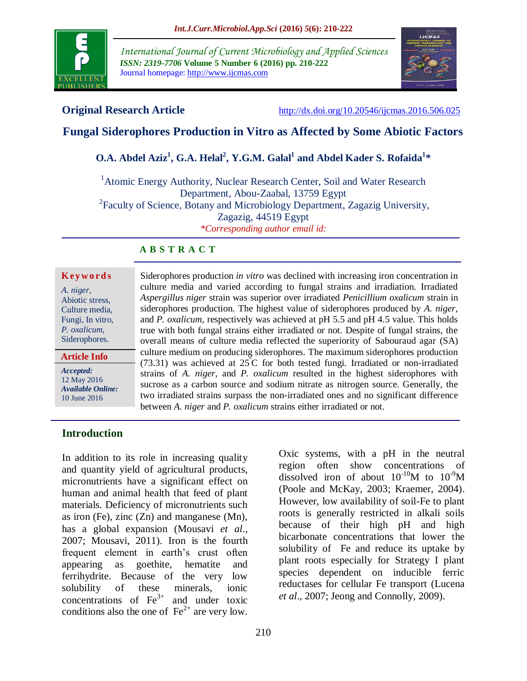

*International Journal of Current Microbiology and Applied Sciences ISSN: 2319-7706* **Volume 5 Number 6 (2016) pp. 210-222** Journal homepage: http://www.ijcmas.com



**Original Research Article** <http://dx.doi.org/10.20546/ijcmas.2016.506.025>

# **Fungal Siderophores Production in Vitro as Affected by Some Abiotic Factors**

# **O.A. Abdel Aziz<sup>1</sup> , G.A. Helal<sup>2</sup> , Y.G.M. Galal<sup>1</sup> and Abdel Kader S. Rofaida<sup>1</sup> \***

<sup>1</sup> Atomic Energy Authority, Nuclear Research Center, Soil and Water Research Department, Abou-Zaabal, 13759 Egypt <sup>2</sup> Faculty of Science, Botany and Microbiology Department, Zagazig University, Zagazig, 44519 Egypt *\*Corresponding author email id:* 

#### **A B S T R A C T**

#### **K ey w o rd s**

*A. niger*, Abiotic stress, Culture media, Fungi, In vitro, *P. oxalicum*, Siderophores.

**Article Info**

*Accepted:*  12 May 2016 *Available Online:* 10 June 2016

Siderophores production *in vitro* was declined with increasing iron concentration in culture media and varied according to fungal strains and irradiation. Irradiated *Aspergillus niger* strain was superior over irradiated *Penicillium oxalicum* strain in siderophores production. The highest value of siderophores produced by *A. niger*, and *P. oxalicum,* respectively was achieved at pH 5.5 and pH 4.5 value. This holds true with both fungal strains either irradiated or not. Despite of fungal strains, the overall means of culture media reflected the superiority of Sabouraud agar (SA) culture medium on producing siderophores. The maximum siderophores production  $(73.31)$  was achieved at  $25^{\circ}$  for both tested fungi. Irradiated or non-irradiated strains of *A. niger*, and *P. oxalicum* resulted in the highest siderophores with sucrose as a carbon source and sodium nitrate as nitrogen source. Generally, the two irradiated strains surpass the non-irradiated ones and no significant difference between *A. niger* and *P. oxalicum* strains either irradiated or not.

#### **Introduction**

In addition to its role in increasing quality and quantity yield of agricultural products, micronutrients have a significant effect on human and animal health that feed of plant materials. Deficiency of micronutrients such as iron (Fe), zinc (Zn) and manganese (Mn), has a global expansion (Mousavi *et al*., 2007; Mousavi, 2011). Iron is the fourth frequent element in earth's crust often appearing as goethite, hematite and ferrihydrite. Because of the very low solubility of these minerals, ionic concentrations of  $\text{Fe}^{3+}$  and under toxic conditions also the one of  $\text{Fe}^{2+}$  are very low.

Oxic systems, with a pH in the neutral region often show concentrations of dissolved iron of about  $10^{-10}$ M to  $10^{-9}$ M (Poole and McKay, 2003; Kraemer, 2004). However, low availability of soil-Fe to plant roots is generally restricted in alkali soils because of their high pH and high bicarbonate concentrations that lower the solubility of Fe and reduce its uptake by plant roots especially for Strategy I plant species dependent on inducible ferric reductases for cellular Fe transport (Lucena *et al*., 2007; Jeong and Connolly, 2009).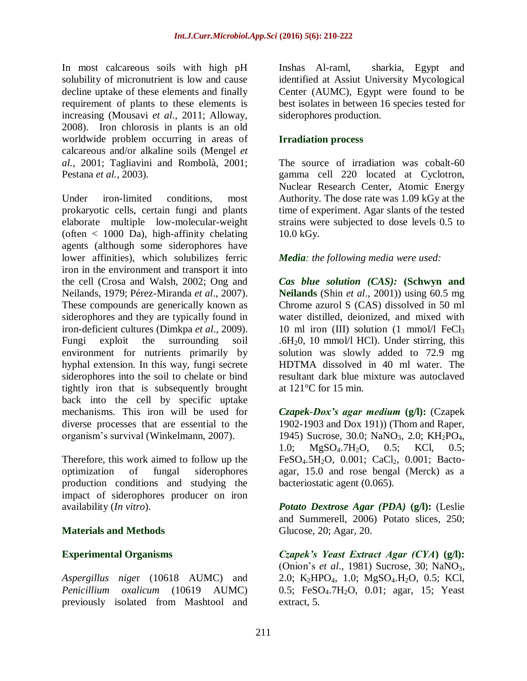In most calcareous soils with high pH solubility of micronutrient is low and cause decline uptake of these elements and finally requirement of plants to these elements is increasing (Mousavi *et al*., 2011; Alloway, 2008). Iron chlorosis in plants is an old worldwide problem occurring in areas of calcareous and/or alkaline soils (Mengel *et al.*, 2001; Tagliavini and Rombolà, 2001; Pestana *et al.*, 2003).

Under iron-limited conditions, most prokaryotic cells, certain fungi and plants elaborate multiple low-molecular-weight (often  $\langle$  1000 Da), high-affinity chelating agents (although some siderophores have lower affinities), which solubilizes ferric iron in the environment and transport it into the cell (Crosa and Walsh, 2002; Ong and Neilands, 1979; Pérez-Miranda *et al*., 2007). These compounds are generically known as siderophores and they are typically found in iron-deficient cultures (Dimkpa *et al*., 2009). Fungi exploit the surrounding soil environment for nutrients primarily by hyphal extension. In this way, fungi secrete siderophores into the soil to chelate or bind tightly iron that is subsequently brought back into the cell by specific uptake mechanisms. This iron will be used for diverse processes that are essential to the organism's survival (Winkelmann, 2007).

Therefore, this work aimed to follow up the optimization of fungal siderophores production conditions and studying the impact of siderophores producer on iron availability (*In vitro*).

## **Materials and Methods**

## **Experimental Organisms**

*Aspergillus nige*r (10618 AUMC) and *Penicillium oxalicum* (10619 AUMC) previously isolated from Mashtool and

Inshas Al-raml, sharkia, Egypt and identified at Assiut University Mycological Center (AUMC), Egypt were found to be best isolates in between 16 species tested for siderophores production.

#### **Irradiation process**

The source of irradiation was cobalt-60 gamma cell 220 located at Cyclotron, Nuclear Research Center, Atomic Energy Authority. The dose rate was 1.09 kGy at the time of experiment. Agar slants of the tested strains were subjected to dose levels 0.5 to 10.0 kGy.

#### *Media: the following media were used:*

*Cas blue solution (CAS):* **(Schwyn and Neilands** (Shin *et al*., 2001)) using 60.5 mg Chrome azurol S (CAS) dissolved in 50 ml water distilled, deionized, and mixed with 10 ml iron (III) solution  $(1 \text{ mmol/l} \text{ FeCl}_3)$ .6H $_2$ 0, 10 mmol/l HCl). Under stirring, this solution was slowly added to 72.9 mg HDTMA dissolved in 40 ml water. The resultant dark blue mixture was autoclaved at 121°C for 15 min.

*Czapek-Dox's agar medium* **(g/l):** (Czapek 1902-1903 and Dox 191)) (Thom and Raper, 1945) Sucrose, 30.0; NaNO3, 2.0; KH2PO4, 1.0; MgSO4.7H2O, 0.5; KCl, 0.5; FeSO<sub>4</sub>.5H<sub>2</sub>O, 0.001; CaCl<sub>2</sub>, 0.001; Bactoagar, 15.0 and rose bengal (Merck) as a bacteriostatic agent (0.065).

*Potato Dextrose Agar (PDA)* **(g/l):** (Leslie and Summerell, 2006) Potato slices, 250; Glucose, 20; Agar, 20.

*Czapek's Yeast Extract Agar (CYA***) (g/l):** (Onion's *et al*., 1981) Sucrose, 30; NaNO3, 2.0; K<sub>2</sub>HPO<sub>4</sub>, 1.0; MgSO<sub>4</sub>.H<sub>2</sub>O, 0.5; KCl, 0.5; FeSO4.7H2O, 0.01; agar, 15; Yeast extract, 5.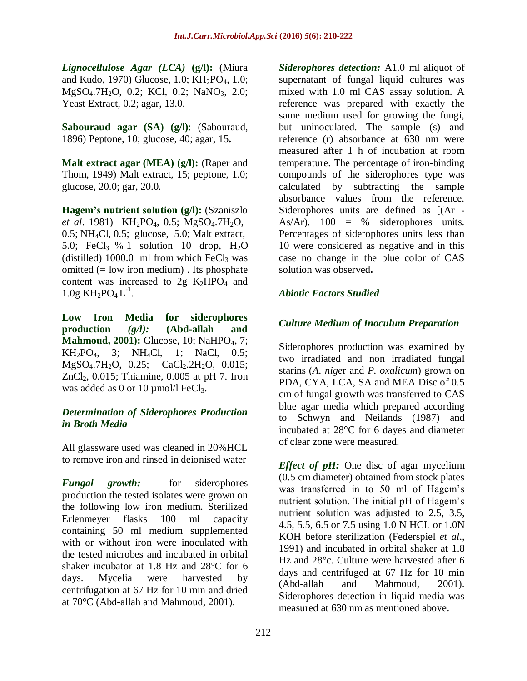*Lignocellulose Agar (LCA)* **(g/l):** (Miura and Kudo, 1970) Glucose,  $1.0$ ; KH<sub>2</sub>PO<sub>4</sub>,  $1.0$ ; MgSO<sub>4</sub>.7H<sub>2</sub>O, 0.2; KCl, 0.2; NaNO<sub>3</sub>, 2.0; Yeast Extract, 0.2; agar, 13.0.

**Sabouraud agar (SA) (g/l)**: (Sabouraud, 1896) Peptone, 10; glucose, 40; agar, 15**.**

**Malt extract agar (MEA) (g/l):** (Raper and Thom, 1949) Malt extract, 15; peptone, 1.0; glucose, 20.0; gar, 20.0.

**Hagem's nutrient solution (g/l):** (Szaniszlo *et al.* 1981) KH<sub>2</sub>PO<sub>4</sub>, 0.5; MgSO<sub>4</sub>.7H<sub>2</sub>O,  $0.5$ ; NH<sub>4</sub>Cl,  $0.5$ ; glucose, 5.0; Malt extract, 5.0; FeCl<sub>3</sub> % 1 solution 10 drop,  $H_2O$ (distilled)  $1000.0$  ml from which FeCl<sub>3</sub> was omitted (= low iron medium) . Its phosphate content was increased to  $2g$  K<sub>2</sub>HPO<sub>4</sub> and  $1.0g$  KH<sub>2</sub>PO<sub>4</sub> L<sup>-1</sup>.

**Low Iron Media for siderophores production** *(g/l):* **(Abd-allah and Mahmoud, 2001):** Glucose, 10; NaHPO<sub>4</sub>, 7;  $KH_2PO_4$ , 3;  $NH_4Cl$ , 1; NaCl, 0.5; MgSO<sub>4</sub>.7H<sub>2</sub>O, 0.25; CaCl<sub>2</sub>.2H<sub>2</sub>O, 0.015;  $ZnCl<sub>2</sub>$ , 0.015; Thiamine, 0.005 at pH 7. Iron was added as 0 or 10  $\mu$ mol/l FeCl<sub>3</sub>.

## *Determination of Siderophores Production in Broth Media*

All glassware used was cleaned in 20%HCL to remove iron and rinsed in deionised water

*Fungal* growth: for siderophores production the tested isolates were grown on the following low iron medium. Sterilized Erlenmeyer flasks 100 ml capacity containing 50 ml medium supplemented with or without iron were inoculated with the tested microbes and incubated in orbital shaker incubator at 1.8 Hz and 28°C for 6 days. Mycelia were harvested by centrifugation at 67 Hz for 10 min and dried at 70°C (Abd-allah and Mahmoud, 2001).

*Siderophores detection:* A1.0 ml aliquot of supernatant of fungal liquid cultures was mixed with 1.0 ml CAS assay solution. A reference was prepared with exactly the same medium used for growing the fungi, but uninoculated. The sample (s) and reference (r) absorbance at 630 nm were measured after 1 h of incubation at room temperature. The percentage of iron-binding compounds of the siderophores type was calculated by subtracting the sample absorbance values from the reference. Siderophores units are defined as  $[(Ar -$ As/Ar).  $100 = %$  siderophores units. Percentages of siderophores units less than 10 were considered as negative and in this case no change in the blue color of CAS solution was observed**.**

## *Abiotic Factors Studied*

## *Culture Medium of Inoculum Preparation*

Siderophores production was examined by two irradiated and non irradiated fungal starins (*A. nige*r and *P. oxalicum*) grown on PDA, CYA, LCA, SA and MEA Disc of 0.5 cm of fungal growth was transferred to CAS blue agar media which prepared according to Schwyn and Neilands (1987) and incubated at 28°C for 6 dayes and diameter of clear zone were measured.

*Effect of pH:* One disc of agar mycelium (0.5 cm diameter) obtained from stock plates was transferred in to 50 ml of Hagem's nutrient solution. The initial pH of Hagem's nutrient solution was adjusted to 2.5, 3.5, 4.5, 5.5, 6.5 or 7.5 using 1.0 N HCL or 1.0N KOH before sterilization (Federspiel *et al*., 1991) and incubated in orbital shaker at 1.8 Hz and 28°c. Culture were harvested after 6 days and centrifuged at 67 Hz for 10 min (Abd-allah and Mahmoud, 2001). Siderophores detection in liquid media was measured at 630 nm as mentioned above.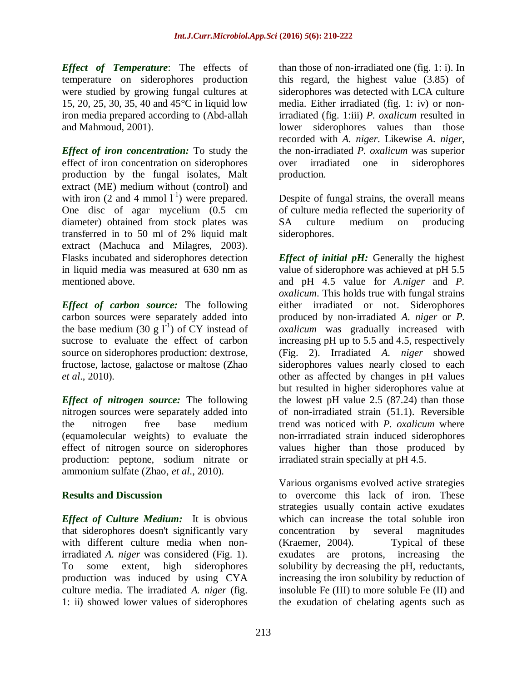*Effect of Temperature*: The effects of temperature on siderophores production were studied by growing fungal cultures at 15, 20, 25, 30, 35, 40 and 45°C in liquid low iron media prepared according to (Abd-allah and Mahmoud, 2001).

*Effect of iron concentration:* To study the effect of iron concentration on siderophores production by the fungal isolates, Malt extract (ME) medium without (control) and with iron  $(2 \text{ and } 4 \text{ mmol } l^{\text{-}1})$  were prepared. One disc of agar mycelium (0.5 cm diameter) obtained from stock plates was transferred in to 50 ml of 2% liquid malt extract (Machuca and Milagres, 2003). Flasks incubated and siderophores detection in liquid media was measured at 630 nm as mentioned above.

*Effect of carbon source:* The following carbon sources were separately added into the base medium (30 g  $\mathbf{l}^{-1}$ ) of CY instead of sucrose to evaluate the effect of carbon source on siderophores production: dextrose, fructose, lactose, galactose or maltose (Zhao *et al*., 2010).

*Effect of nitrogen source:* The following nitrogen sources were separately added into the nitrogen free base medium (equamolecular weights) to evaluate the effect of nitrogen source on siderophores production: peptone, sodium nitrate or ammonium sulfate (Zhao, *et al*., 2010).

## **Results and Discussion**

*Effect of Culture Medium:* It is obvious that siderophores doesn't significantly vary with different culture media when nonirradiated *A. niger* was considered (Fig. 1). To some extent, high siderophores production was induced by using CYA culture media. The irradiated *A. niger* (fig. 1: ii) showed lower values of siderophores

than those of non-irradiated one (fig. 1: i). In this regard, the highest value (3.85) of siderophores was detected with LCA culture media. Either irradiated (fig. 1: iv) or nonirradiated (fig. 1:iii) *P. oxalicum* resulted in lower siderophores values than those recorded with *A. niger*. Likewise *A. niger*, the non-irradiated *P. oxalicum* was superior over irradiated one in siderophores production.

Despite of fungal strains, the overall means of culture media reflected the superiority of SA culture medium on producing siderophores.

*Effect of initial pH:* Generally the highest value of siderophore was achieved at pH 5.5 and pH 4.5 value for *A.niger* and *P. oxalicum*. This holds true with fungal strains either irradiated or not. Siderophores produced by non-irradiated *A. niger* or *P. oxalicum* was gradually increased with increasing pH up to 5.5 and 4.5, respectively (Fig. 2). Irradiated *A. niger* showed siderophores values nearly closed to each other as affected by changes in pH values but resulted in higher siderophores value at the lowest pH value 2.5 (87.24) than those of non-irradiated strain (51.1). Reversible trend was noticed with *P. oxalicum* where non-irrradiated strain induced siderophores values higher than those produced by irradiated strain specially at pH 4.5.

Various organisms evolved active strategies to overcome this lack of iron. These strategies usually contain active exudates which can increase the total soluble iron concentration by several magnitudes (Kraemer, 2004). Typical of these exudates are protons, increasing the solubility by decreasing the pH, reductants, increasing the iron solubility by reduction of insoluble Fe (III) to more soluble Fe (II) and the exudation of chelating agents such as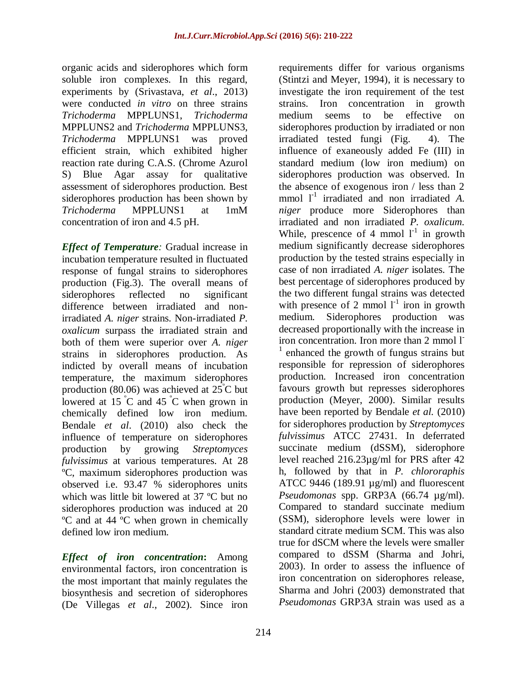organic acids and siderophores which form soluble iron complexes. In this regard, experiments by (Srivastava, *et al*., 2013) were conducted *in vitro* on three strains *Trichoderma* MPPLUNS1, *Trichoderma*  MPPLUNS2 and *Trichoderma* MPPLUNS3, *Trichoderma* MPPLUNS1 was proved efficient strain, which exhibited higher reaction rate during C.A.S. (Chrome Azurol S) Blue Agar assay for qualitative assessment of siderophores production. Best siderophores production has been shown by *Trichoderma* MPPLUNS1 at 1mM concentration of iron and 4.5 pH.

*Effect of Temperature:* Gradual increase in incubation temperature resulted in fluctuated response of fungal strains to siderophores production (Fig.3). The overall means of siderophores reflected no significant difference between irradiated and nonirradiated *A. niger* strains. Non-irradiated *P. oxalicum* surpass the irradiated strain and both of them were superior over *A. niger* strains in siderophores production. As indicted by overall means of incubation temperature, the maximum siderophores production (80.06) was achieved at  $25^{\circ}$ C but lowered at  $15\degree C$  and  $45\degree C$  when grown in chemically defined low iron medium. Bendale *et al*. (2010) also check the influence of temperature on siderophores production by growing *Streptomyces fulvissimus* at various temperatures. At 28 ºC, maximum siderophores production was observed i.e. 93.47 % siderophores units which was little bit lowered at 37 ºC but no siderophores production was induced at 20 ºC and at 44 ºC when grown in chemically defined low iron medium.

*Effect of iron concentration***:** Among environmental factors, iron concentration is the most important that mainly regulates the biosynthesis and secretion of siderophores (De Villegas *et al*., 2002). Since iron

requirements differ for various organisms (Stintzi and Meyer, 1994), it is necessary to investigate the iron requirement of the test strains. Iron concentration in growth medium seems to be effective on siderophores production by irradiated or non irradiated tested fungi (Fig. 4). The influence of exaneously added Fe (III) in standard medium (low iron medium) on siderophores production was observed. In the absence of exogenous iron / less than 2 mmol  $1^{-1}$  irradiated and non irradiated *A*. *niger* produce more Siderophores than irradiated and non irradiated *P. oxalicum.*  While, prescence of 4 mmol  $1<sup>-1</sup>$  in growth medium significantly decrease siderophores production by the tested strains especially in case of non irradiated *A. niger* isolates. The best percentage of siderophores produced by the two different fungal strains was detected with presence of 2 mmol  $l^{-1}$  iron in growth medium. Siderophores production was decreased proportionally with the increase in iron concentration. Iron more than 2 mmol l<sup>-</sup> <sup>1</sup> enhanced the growth of fungus strains but responsible for repression of siderophores production. Increased iron concentration favours growth but represses siderophores production (Meyer, 2000). Similar results have been reported by Bendale *et al.* (2010) for siderophores production by *Streptomyces fulvissimus* ATCC 27431. In deferrated succinate medium (dSSM), siderophore level reached 216.23µg/ml for PRS after 42 h, followed by that in *P. chlororaphis* ATCC 9446 (189.91 µg/ml) and fluorescent *Pseudomonas* spp. GRP3A (66.74 µg/ml). Compared to standard succinate medium (SSM), siderophore levels were lower in standard citrate medium SCM. This was also true for dSCM where the levels were smaller compared to dSSM (Sharma and Johri, 2003). In order to assess the influence of iron concentration on siderophores release, Sharma and Johri (2003) demonstrated that *Pseudomonas* GRP3A strain was used as a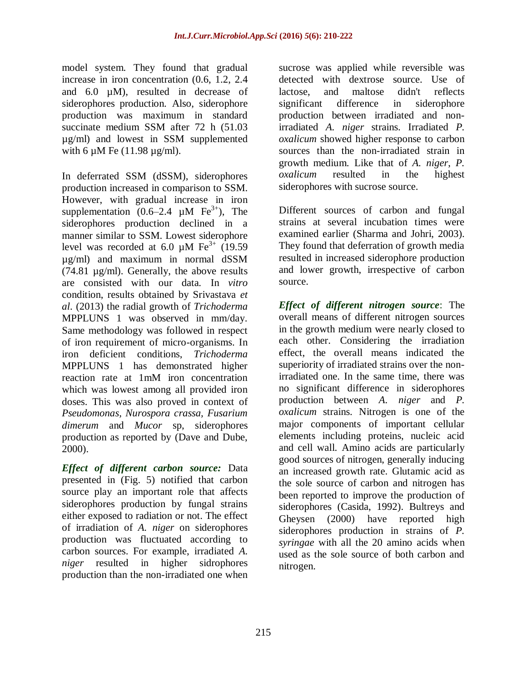model system. They found that gradual increase in iron concentration (0.6, 1.2, 2.4 and 6.0 µM), resulted in decrease of siderophores production. Also, siderophore production was maximum in standard succinate medium SSM after 72 h (51.03 µg/ml) and lowest in SSM supplemented with 6  $\mu$ M Fe (11.98  $\mu$ g/ml).

In deferrated SSM (dSSM), siderophores production increased in comparison to SSM. However, with gradual increase in iron supplementation  $(0.6-2.4 \mu M)$  Fe<sup>3+</sup>), The siderophores production declined in a manner similar to SSM. Lowest siderophore level was recorded at 6.0  $\mu$ M Fe<sup>3+</sup> (19.59) µg/ml) and maximum in normal dSSM (74.81 µg/ml). Generally, the above results are consisted with our data. In *vitro*  condition, results obtained by Srivastava *et al*. (2013) the radial growth of *Trichoderma*  MPPLUNS 1 was observed in mm/day. Same methodology was followed in respect of iron requirement of micro-organisms. In iron deficient conditions, *Trichoderma*  MPPLUNS 1 has demonstrated higher reaction rate at 1mM iron concentration which was lowest among all provided iron doses. This was also proved in context of *Pseudomonas, Nurospora crassa, Fusarium dimerum* and *Mucor* sp, siderophores production as reported by (Dave and Dube, 2000).

*Effect of different carbon source:* Data presented in (Fig. 5) notified that carbon source play an important role that affects siderophores production by fungal strains either exposed to radiation or not. The effect of irradiation of *A. niger* on siderophores production was fluctuated according to carbon sources. For example, irradiated *A. niger* resulted in higher sidrophores production than the non-irradiated one when

sucrose was applied while reversible was detected with dextrose source. Use of lactose, and maltose didn't reflects significant difference in siderophore production between irradiated and nonirradiated *A. niger* strains. Irradiated *P. oxalicum* showed higher response to carbon sources than the non-irradiated strain in growth medium. Like that of *A. niger*, *P. oxalicum* resulted in the highest siderophores with sucrose source.

Different sources of carbon and fungal strains at several incubation times were examined earlier (Sharma and Johri, 2003). They found that deferration of growth media resulted in increased siderophore production and lower growth, irrespective of carbon source.

*Effect of different nitrogen source*: The overall means of different nitrogen sources in the growth medium were nearly closed to each other. Considering the irradiation effect, the overall means indicated the superiority of irradiated strains over the nonirradiated one. In the same time, there was no significant difference in siderophores production between *A. niger* and *P. oxalicum* strains. Nitrogen is one of the major components of important cellular elements including proteins, nucleic acid and cell wall. Amino acids are particularly good sources of nitrogen, generally inducing an increased growth rate. Glutamic acid as the sole source of carbon and nitrogen has been reported to improve the production of siderophores (Casida, 1992). Bultreys and Gheysen (2000) have reported high siderophores production in strains of *P. syringae* with all the 20 amino acids when used as the sole source of both carbon and nitrogen.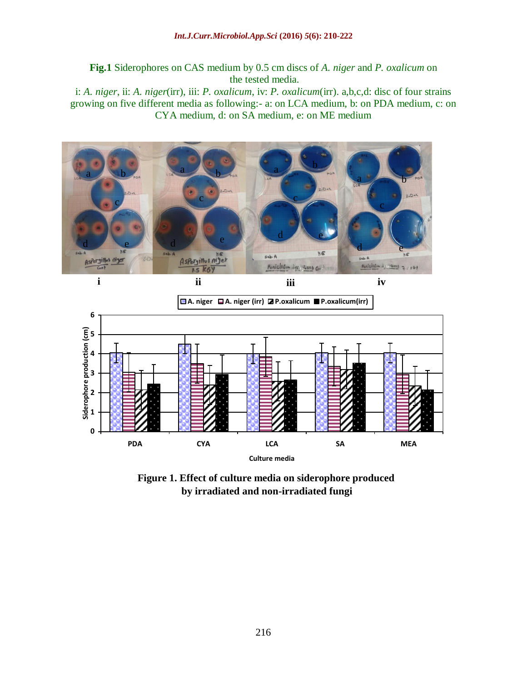**Fig.1** Siderophores on CAS medium by 0.5 cm discs of *A. niger* and *P. oxalicum* on the tested media.

i: *A. niger*, ii: *A. niger*(irr), iii: *P. oxalicum*, iv: *P. oxalicum*(irr). a,b,c,d: disc of four strains growing on five different media as following:- a: on LCA medium, b: on PDA medium, c: on CYA medium, d: on SA medium, e: on ME medium





**Figure 1. Effect of culture media on siderophore produced by irradiated and non-irradiated fungi**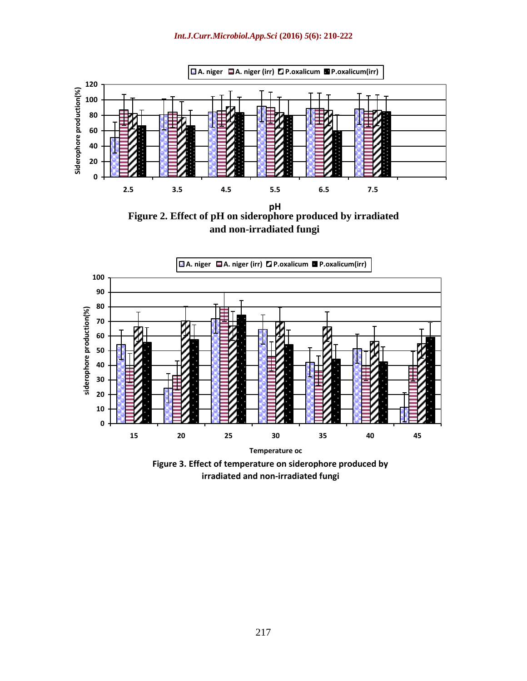

**and non-irradiated fungi**



**Figure 3. Effect of temperature on siderophore produced by irradiated and non-irradiated fungi**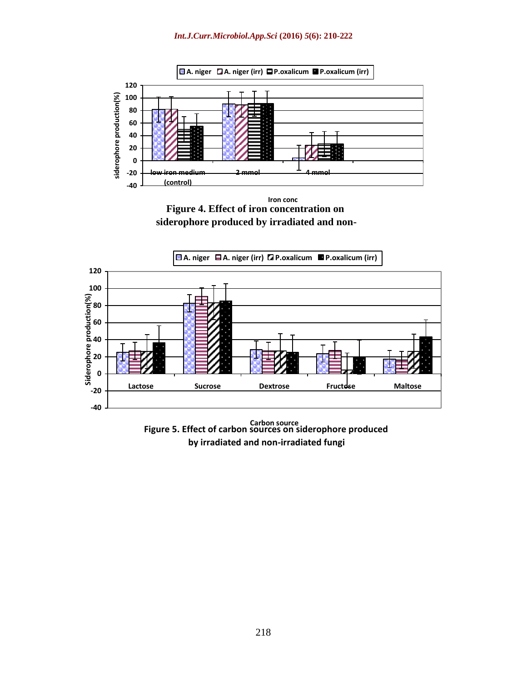#### *Int.J.Curr.Microbiol.App.Sci* **(2016)** *5***(6): 210-222**



**Figure 4. Effect of iron concentration on siderophore produced by irradiated and non- Iron conc**



**Figure 5. Effect of carbon sources on siderophore produced Carbon source by irradiated and non-irradiated fungi**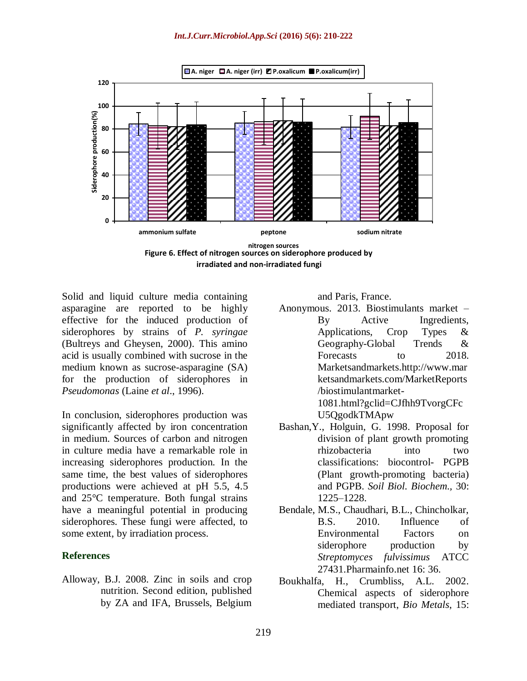

**irradiated and non-irradiated fungi**

Solid and liquid culture media containing asparagine are reported to be highly effective for the induced production of siderophores by strains of *P. syringae*  (Bultreys and Gheysen, 2000). This amino acid is usually combined with sucrose in the medium known as sucrose-asparagine (SA) for the production of siderophores in *Pseudomonas* (Laine *et al*., 1996).

In conclusion, siderophores production was significantly affected by iron concentration in medium. Sources of carbon and nitrogen in culture media have a remarkable role in increasing siderophores production. In the same time, the best values of siderophores productions were achieved at pH 5.5, 4.5 and 25°C temperature. Both fungal strains have a meaningful potential in producing siderophores. These fungi were affected, to some extent, by irradiation process.

#### **References**

Alloway, B.J. 2008. Zinc in soils and crop nutrition. Second edition, published by ZA and IFA, Brussels, Belgium

and Paris, France.

- Anonymous. 2013. Biostimulants market By Active Ingredients, Applications, Crop Types & Geography-Global Trends & Forecasts to 2018. Marketsandmarkets[.http://www.](http://www/)mar ketsandmarkets.com/MarketReports /biostimulantmarket-1081.html?gclid=CJfhh9TvorgCFc U5QgodkTMApw
- Bashan,Y., Holguin, G. 1998. Proposal for division of plant growth promoting rhizobacteria into two classifications: biocontrol- PGPB (Plant growth-promoting bacteria) and PGPB. *Soil Biol. Biochem.,* 30: 1225–1228.
- Bendale, M.S., Chaudhari, B.L., Chincholkar, B.S. 2010. Influence of Environmental Factors on siderophore production by *Streptomyces fulvissimus* ATCC 27431[.Pharmainfo.net](http://www.pharmainfo.net/) 16: 36.
- Boukhalfa, H., Crumbliss, A.L. 2002. Chemical aspects of siderophore mediated transport, *Bio Metals*, 15: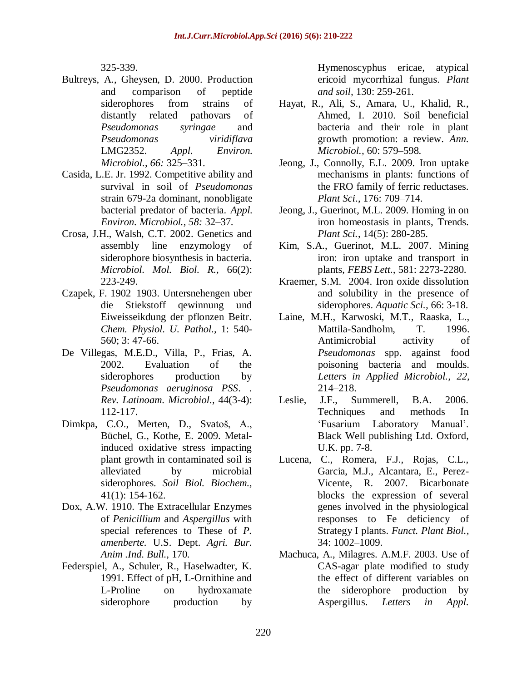325-339.

- Bultreys, A., Gheysen, D. 2000. Production and comparison of peptide siderophores from strains of distantly related pathovars of *Pseudomonas syringae* and *Pseudomonas viridiflava* LMG2352. *Appl. Environ. Microbiol., 66:* 325–331.
- Casida, L.E. Jr. 1992. Competitive ability and survival in soil of *Pseudomonas*  strain 679-2a dominant, nonobligate bacterial predator of bacteria. *Appl. Environ. Microbiol., 58:* 32–37.
- Crosa, J.H., Walsh, C.T. 2002. Genetics and assembly line enzymology of siderophore biosynthesis in bacteria. *Microbiol. Mol. Biol. R.,* 66(2): 223-249.
- Czapek, F. 1902–1903. Untersnehengen uber die Stiekstoff qewinnung und Eiweisseikdung der pflonzen Beitr. *Chem. Physiol. U. Pathol.,* 1: 540- 560; 3: 47-66.
- De Villegas, M.E.D., Villa, P., Frias, A. 2002. Evaluation of the siderophores production by *Pseudomonas aeruginosa PSS*. . *Rev. Latinoam. Microbiol.,* 44(3-4): 112-117.
- Dimkpa, C.O., Merten, D., Svatoš, A., Büchel, G., Kothe, E. 2009. Metalinduced oxidative stress impacting plant growth in contaminated soil is alleviated by microbial siderophores. *Soil Biol. Biochem.,*  41(1): 154-162.
- Dox, A.W. 1910. The Extracellular Enzymes of *Penicillium* and *Aspergillus* with special references to These of *P. amenberte.* U.S. Dept. *Agri. Bur. Anim .Ind. Bull.,* 170.
- Federspiel, A., Schuler, R., Haselwadter, K. 1991. Effect of pH, L-Ornithine and L-Proline on hydroxamate siderophore production by

Hymenoscyphus ericae, atypical ericoid mycorrhizal fungus. *Plant and soil,* 130: 259-261.

- Hayat, R., Ali, S., Amara, U., Khalid, R., Ahmed, I. 2010. Soil beneficial bacteria and their role in plant growth promotion: a review. *Ann. Microbiol.,* 60: 579–598.
- Jeong, J., Connolly, E.L. 2009. Iron uptake mechanisms in plants: functions of the FRO family of ferric reductases. *Plant Sci*., 176: 709–714.
- Jeong, J., Guerinot, M.L. 2009. Homing in on iron homeostasis in plants, Trends. *Plant Sci.*, 14(5): 280-285.
- Kim, S.A., Guerinot, M.L. 2007. Mining iron: iron uptake and transport in plants, *FEBS Lett.,* 581: 2273-2280.
- Kraemer, S.M. 2004. Iron oxide dissolution and solubility in the presence of siderophores. *Aquatic Sci.,* 66: 3-18.
- Laine, M.H., Karwoski, M.T., Raaska, L., Mattila-Sandholm, T. 1996. Antimicrobial activity of *Pseudomonas* spp. against food poisoning bacteria and moulds. *Letters in Applied Microbiol., 22,*  214–218.
- Leslie, J.F., Summerell, B.A. 2006. Techniques and methods In 'Fusarium Laboratory Manual'. Black Well publishing Ltd. Oxford, U.K. pp. 7-8.
- Lucena, C., Romera, F.J., Rojas, C.L., Garcia, M.J., Alcantara, E., Perez-Vicente, R. 2007. Bicarbonate blocks the expression of several genes involved in the physiological responses to Fe deficiency of Strategy I plants. *Funct. Plant Biol.,* 34: 1002–1009.
- Machuca, A., Milagres. A.M.F. 2003. Use of CAS-agar plate modified to study the effect of different variables on the siderophore production by Aspergillus. *Letters in Appl.*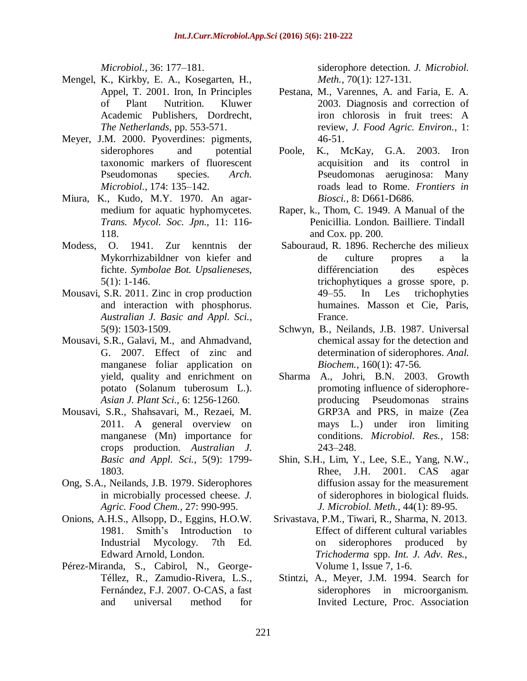*Microbiol.,* 36: 177–181.

- Mengel, K., Kirkby, E. A., Kosegarten, H., Appel, T. 2001. Iron, In Principles of Plant Nutrition. Kluwer Academic Publishers, Dordrecht, *The Netherlands,* pp. 553-571.
- Meyer, J.M. 2000. Pyoverdines: pigments, siderophores and potential taxonomic markers of fluorescent Pseudomonas species. *Arch. Microbiol.,* 174: 135–142.
- Miura, K., Kudo, M.Y. 1970. An agarmedium for aquatic hyphomycetes. *Trans. Mycol. Soc. Jpn.,* 11: 116- 118.
- Modess, O. 1941. Zur kenntnis der Mykorrhizabildner von kiefer and fichte. *Symbolae Bot. Upsalieneses,* 5(1): 1-146.
- Mousavi, S.R. 2011. Zinc in crop production and interaction with phosphorus. *Australian J. Basic and Appl. Sci.,* 5(9): 1503-1509.
- Mousavi, S.R., Galavi, M., and Ahmadvand, G. 2007. Effect of zinc and manganese foliar application on yield, quality and enrichment on potato (Solanum tuberosum L.). *Asian J. Plant Sci.,* 6: 1256-1260.
- Mousavi, S.R., Shahsavari, M., Rezaei, M. 2011. A general overview on manganese (Mn) importance for crops production. *Australian J. Basic and Appl. Sci.,* 5(9): 1799- 1803.
- Ong, S.A., Neilands, J.B. 1979. Siderophores in microbially processed cheese. *J. Agric. Food Chem.,* 27: 990-995.
- Onions, A.H.S., Allsopp, D., Eggins, H.O.W. 1981. Smith's Introduction to Industrial Mycology. 7th Ed. Edward Arnold, London.
- Pérez-Miranda, S., Cabirol, N., George-Téllez, R., Zamudio-Rivera, L.S., Fernández, F.J. 2007. O-CAS, a fast and universal method for

siderophore detection. *J. Microbiol. Meth.,* 70(1): 127-131.

- Pestana, M., Varennes, A. and Faria, E. A. 2003. Diagnosis and correction of iron chlorosis in fruit trees: A review, *J. Food Agric. Environ.,* 1: 46-51.
- Poole, K., McKay, G.A. 2003. Iron acquisition and its control in Pseudomonas aeruginosa: Many roads lead to Rome. *Frontiers in Biosci.,* 8: D661-D686.
- Raper, k., Thom, C. 1949. A Manual of the Penicillia. London. Bailliere. Tindall and Cox. pp. 200.
- Sabouraud, R. 1896. Recherche des milieux de culture propres a la différenciation des espèces trichophytiques a grosse spore, p. 49–55. In Les trichophyties humaines. Masson et Cie, Paris, France.
- Schwyn, B., Neilands, J.B. 1987. Universal chemical assay for the detection and determination of siderophores. *Anal. Biochem.,* 160(1): 47-56.
- Sharma A., Johri, B.N. 2003. Growth promoting influence of siderophoreproducing Pseudomonas strains GRP3A and PRS, in maize (Zea mays L.) under iron limiting conditions. *Microbiol. Res.,* 158: 243–248.
- Shin, S.H., Lim, Y., Lee, S.E., Yang, N.W., Rhee, J.H. 2001. CAS agar diffusion assay for the measurement of siderophores in biological fluids. *J. Microbiol. Meth.,* 44(1): 89-95.
- Srivastava, P.M., Tiwari, R., Sharma, N. 2013. Effect of different cultural variables on siderophores produced by *Trichoderma* spp. *Int. J. Adv. Res.,* Volume 1, Issue 7, 1-6.
- Stintzi, A., Meyer, J.M. 1994. Search for siderophores in microorganism. Invited Lecture, Proc. Association